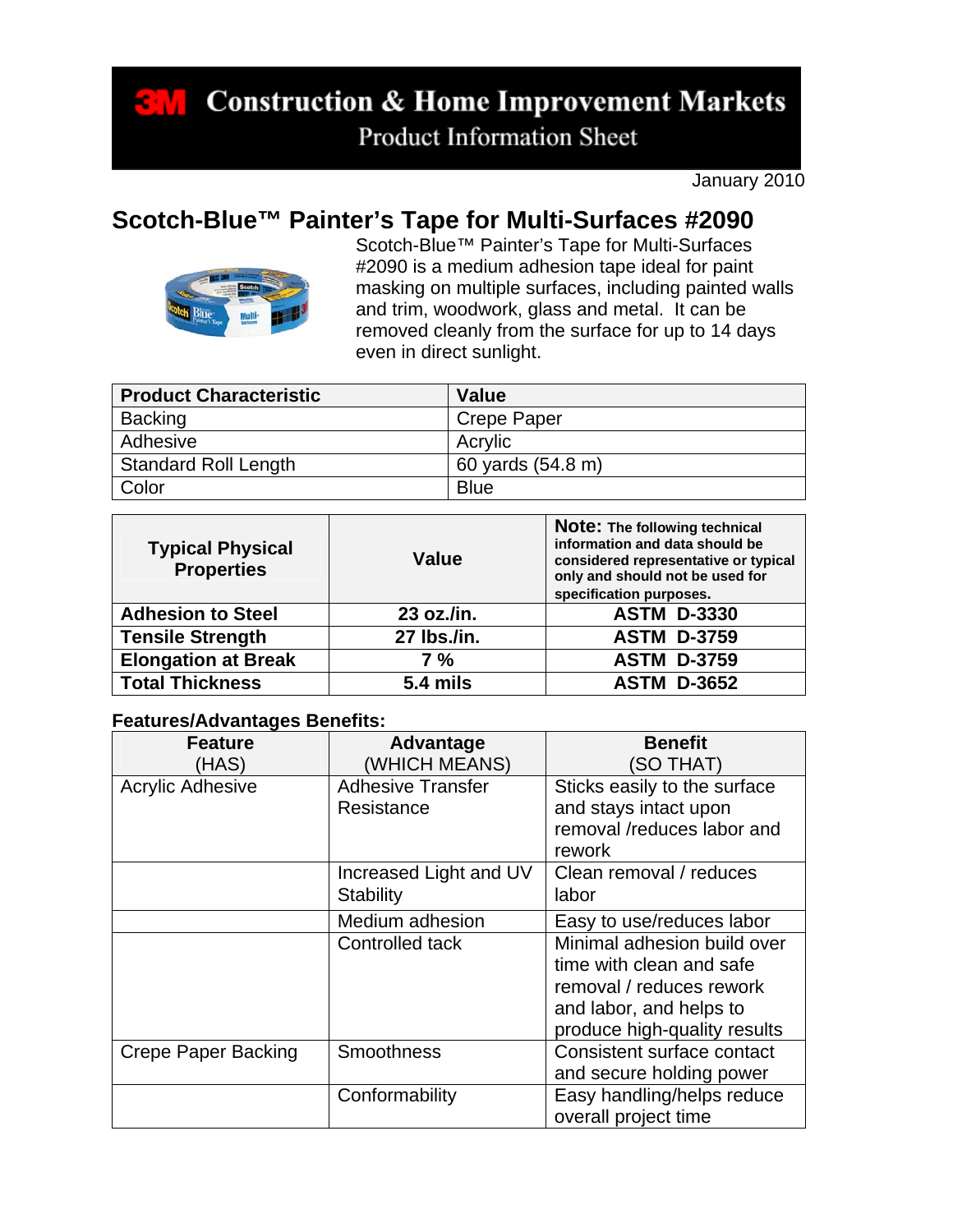**Construction & Home Improvement Markets** к. **Product Information Sheet** 

January 2010

## **Scotch-Blue™ Painter's Tape for Multi-Surfaces #2090**



Scotch-Blue™ Painter's Tape for Multi-Surfaces #2090 is a medium adhesion tape ideal for paint masking on multiple surfaces, including painted walls and trim, woodwork, glass and metal. It can be removed cleanly from the surface for up to 14 days even in direct sunlight.

| <b>Product Characteristic</b> | Value              |
|-------------------------------|--------------------|
| Backing                       | <b>Crepe Paper</b> |
| Adhesive                      | Acrylic            |
| Standard Roll Length          | 60 yards (54.8 m)  |
| Color                         | <b>Blue</b>        |

| <b>Typical Physical</b><br><b>Properties</b> | Value       | Note: The following technical<br>information and data should be<br>considered representative or typical<br>only and should not be used for<br>specification purposes. |
|----------------------------------------------|-------------|-----------------------------------------------------------------------------------------------------------------------------------------------------------------------|
| <b>Adhesion to Steel</b>                     | 23 oz./in.  | <b>ASTM D-3330</b>                                                                                                                                                    |
| <b>Tensile Strength</b>                      | 27 lbs./in. | <b>ASTM D-3759</b>                                                                                                                                                    |
| <b>Elongation at Break</b>                   | 7 %         | <b>ASTM D-3759</b>                                                                                                                                                    |
| <b>Total Thickness</b>                       | 5.4 mils    | <b>ASTM D-3652</b>                                                                                                                                                    |

## **Features/Advantages Benefits:**

| <b>Feature</b>          | Advantage                | <b>Benefit</b>               |
|-------------------------|--------------------------|------------------------------|
| (HAS)                   | (WHICH MEANS)            | (SO THAT)                    |
| <b>Acrylic Adhesive</b> | <b>Adhesive Transfer</b> | Sticks easily to the surface |
|                         | Resistance               | and stays intact upon        |
|                         |                          | removal /reduces labor and   |
|                         |                          | rework                       |
|                         | Increased Light and UV   | Clean removal / reduces      |
|                         | <b>Stability</b>         | labor                        |
|                         | Medium adhesion          | Easy to use/reduces labor    |
|                         | Controlled tack          | Minimal adhesion build over  |
|                         |                          | time with clean and safe     |
|                         |                          | removal / reduces rework     |
|                         |                          | and labor, and helps to      |
|                         |                          | produce high-quality results |
| Crepe Paper Backing     | <b>Smoothness</b>        | Consistent surface contact   |
|                         |                          | and secure holding power     |
|                         | Conformability           | Easy handling/helps reduce   |
|                         |                          | overall project time         |